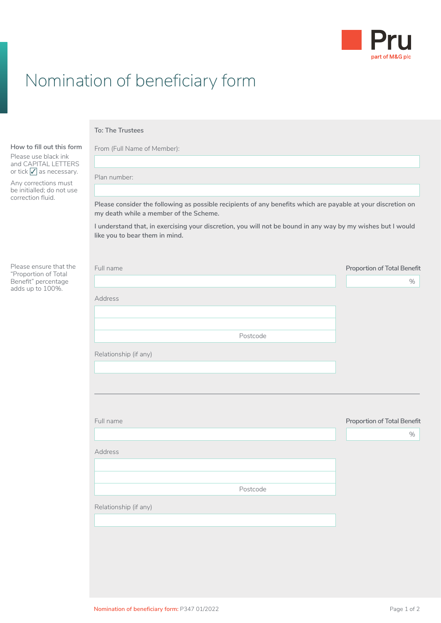

## Nomination of beneficiary form

## **To: The Trustees**

Plan number:

Address

Relationship (if any)

From (Full Name of Member):

Please use black ink and CAPITAL LETTERS or tick  $\sqrt{\ }$  as necessary.

**How to fill out this form**

Any corrections must be initialled; do not use correction fluid.

Please ensure that the "Proportion of Total Benefit" percentage adds up to 100%.

| Please consider the following as possible recipients of any benefits which are payable at your discretion on<br>my death while a member of the Scheme.<br>I understand that, in exercising your discretion, you will not be bound in any way by my wishes but I would<br>like you to bear them in mind. |                                    |
|---------------------------------------------------------------------------------------------------------------------------------------------------------------------------------------------------------------------------------------------------------------------------------------------------------|------------------------------------|
|                                                                                                                                                                                                                                                                                                         |                                    |
|                                                                                                                                                                                                                                                                                                         |                                    |
|                                                                                                                                                                                                                                                                                                         |                                    |
| Full name                                                                                                                                                                                                                                                                                               | <b>Proportion of Total Benefit</b> |
|                                                                                                                                                                                                                                                                                                         | %                                  |
| Address                                                                                                                                                                                                                                                                                                 |                                    |
| Postcode                                                                                                                                                                                                                                                                                                |                                    |
| Relationship (if any)                                                                                                                                                                                                                                                                                   |                                    |
|                                                                                                                                                                                                                                                                                                         |                                    |
| Full name                                                                                                                                                                                                                                                                                               | Proportion of Total Benefit        |
|                                                                                                                                                                                                                                                                                                         | %                                  |

Postcode